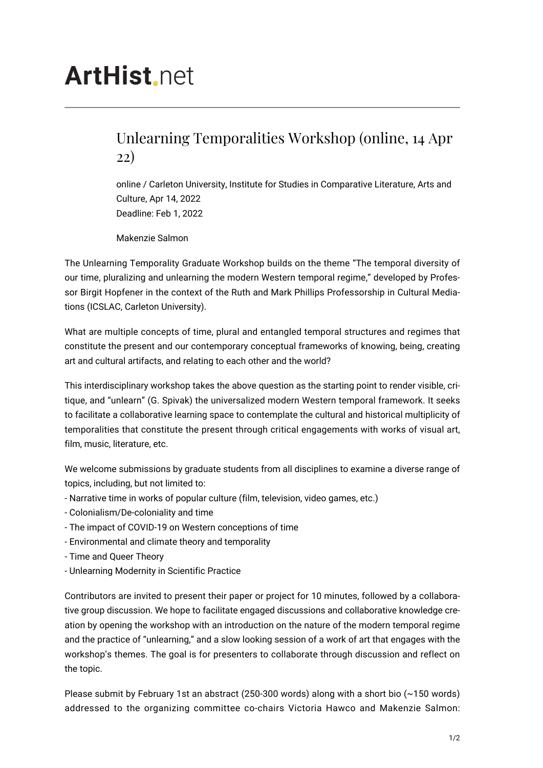## **ArtHist**, net

## Unlearning Temporalities Workshop (online, 14 Apr 22)

online / Carleton University, Institute for Studies in Comparative Literature, Arts and Culture, Apr 14, 2022 Deadline: Feb 1, 2022

Makenzie Salmon

The Unlearning Temporality Graduate Workshop builds on the theme "The temporal diversity of our time, pluralizing and unlearning the modern Western temporal regime," developed by Professor Birgit Hopfener in the context of the Ruth and Mark Phillips Professorship in Cultural Mediations (ICSLAC, Carleton University).

What are multiple concepts of time, plural and entangled temporal structures and regimes that constitute the present and our contemporary conceptual frameworks of knowing, being, creating art and cultural artifacts, and relating to each other and the world?

This interdisciplinary workshop takes the above question as the starting point to render visible, critique, and "unlearn" (G. Spivak) the universalized modern Western temporal framework. It seeks to facilitate a collaborative learning space to contemplate the cultural and historical multiplicity of temporalities that constitute the present through critical engagements with works of visual art, film, music, literature, etc.

We welcome submissions by graduate students from all disciplines to examine a diverse range of topics, including, but not limited to:

- Narrative time in works of popular culture (film, television, video games, etc.)
- Colonialism/De-coloniality and time
- The impact of COVID-19 on Western conceptions of time
- Environmental and climate theory and temporality
- Time and Queer Theory
- Unlearning Modernity in Scientific Practice

Contributors are invited to present their paper or project for 10 minutes, followed by a collaborative group discussion. We hope to facilitate engaged discussions and collaborative knowledge creation by opening the workshop with an introduction on the nature of the modern temporal regime and the practice of "unlearning," and a slow looking session of a work of art that engages with the workshop's themes. The goal is for presenters to collaborate through discussion and reflect on the topic.

Please submit by February 1st an abstract (250-300 words) along with a short bio  $(\sim 150$  words) addressed to the organizing committee co-chairs Victoria Hawco and Makenzie Salmon: